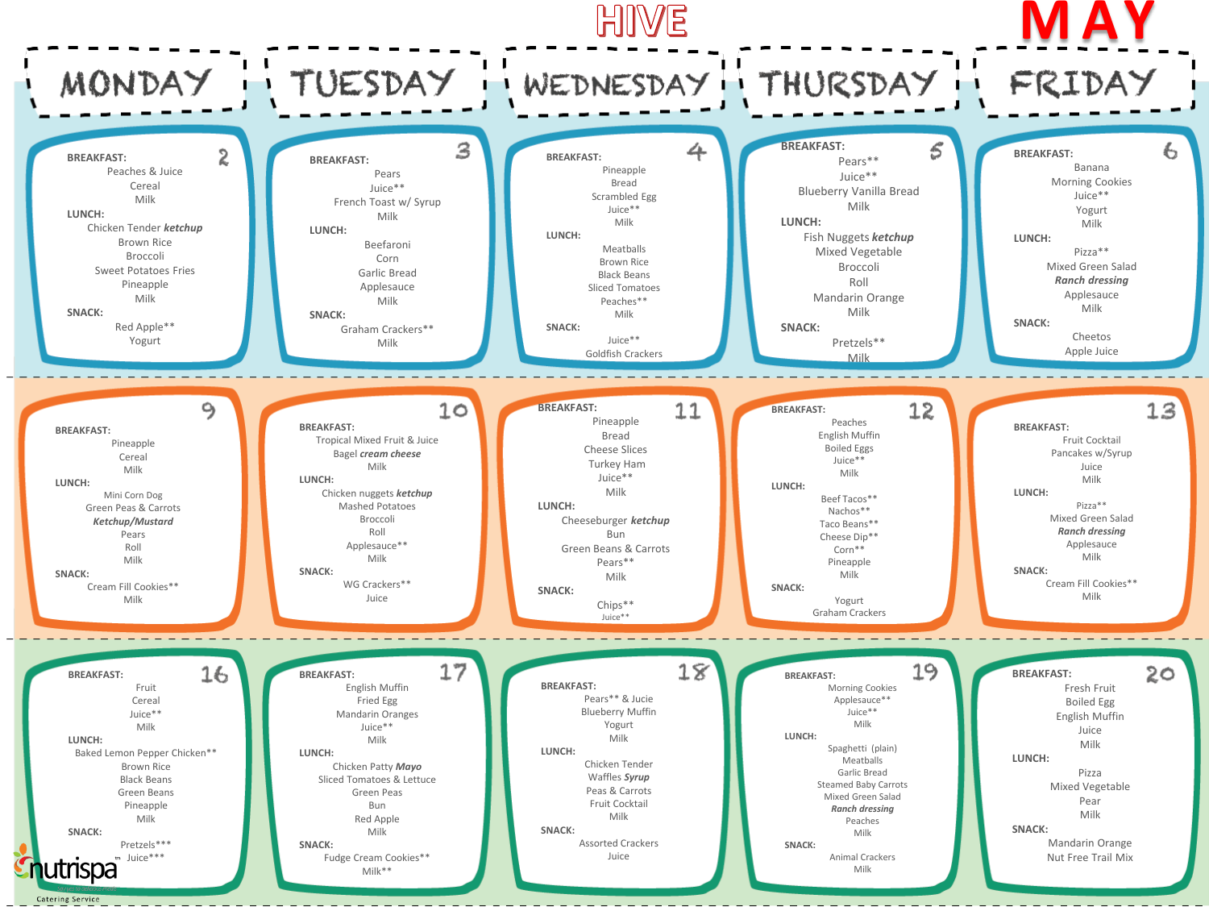